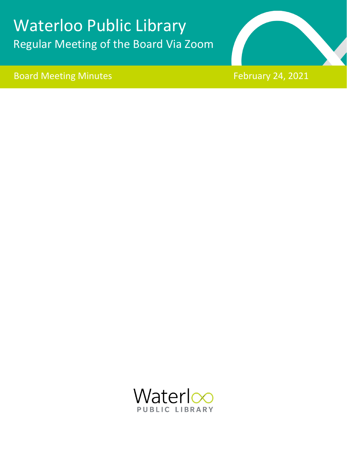# Waterloo Public Library Regular Meeting of the Board Via Zoom

Board Meeting Minutes **February 24, 2021** 



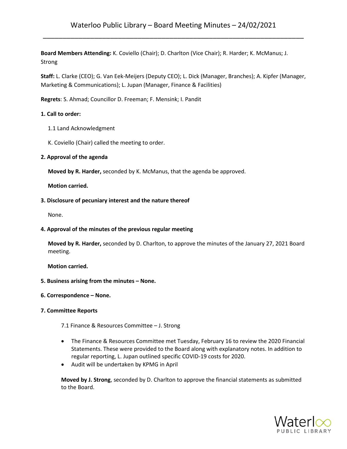# Waterloo Public Library – Board Meeting Minutes – 24/02/2021 \_\_\_\_\_\_\_\_\_\_\_\_\_\_\_\_\_\_\_\_\_\_\_\_\_\_\_\_\_\_\_\_\_\_\_\_\_\_\_\_\_\_\_\_\_\_\_\_\_\_\_\_\_\_\_\_\_\_\_\_\_\_\_\_\_\_

**Board Members Attending:** K. Coviello (Chair); D. Charlton (Vice Chair); R. Harder; K. McManus; J. Strong

**Staff:** L. Clarke (CEO); G. Van Eek-Meijers (Deputy CEO); L. Dick (Manager, Branches); A. Kipfer (Manager, Marketing & Communications); L. Jupan (Manager, Finance & Facilities)

**Regrets**: S. Ahmad; Councillor D. Freeman; F. Mensink; I. Pandit

#### **1. Call to order:**

- 1.1 Land Acknowledgment
- K. Coviello (Chair) called the meeting to order.

#### **2. Approval of the agenda**

**Moved by R. Harder,** seconded by K. McManus, that the agenda be approved.

 **Motion carried.**

#### **3. Disclosure of pecuniary interest and the nature thereof**

None.

#### **4. Approval of the minutes of the previous regular meeting**

**Moved by R. Harder,** seconded by D. Charlton, to approve the minutes of the January 27, 2021 Board meeting.

#### **Motion carried.**

**5. Business arising from the minutes – None.**

#### **6. Correspondence – None.**

#### **7. Committee Reports**

7.1 Finance & Resources Committee – J. Strong

- The Finance & Resources Committee met Tuesday, February 16 to review the 2020 Financial Statements. These were provided to the Board along with explanatory notes. In addition to regular reporting, L. Jupan outlined specific COVID-19 costs for 2020.
- Audit will be undertaken by KPMG in April

**Moved by J. Strong**, seconded by D. Charlton to approve the financial statements as submitted to the Board.

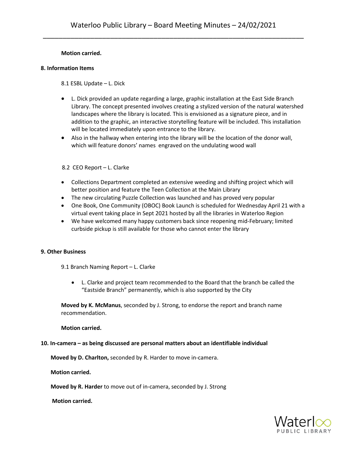#### **Motion carried.**

#### **8. Information Items**

8.1 ESBL Update – L. Dick

- L. Dick provided an update regarding a large, graphic installation at the East Side Branch Library. The concept presented involves creating a stylized version of the natural watershed landscapes where the library is located. This is envisioned as a signature piece, and in addition to the graphic, an interactive storytelling feature will be included. This installation will be located immediately upon entrance to the library.
- Also in the hallway when entering into the library will be the location of the donor wall, which will feature donors' names engraved on the undulating wood wall

8.2 CEO Report – L. Clarke

- Collections Department completed an extensive weeding and shifting project which will better position and feature the Teen Collection at the Main Library
- The new circulating Puzzle Collection was launched and has proved very popular
- One Book, One Community (OBOC) Book Launch is scheduled for Wednesday April 21 with a virtual event taking place in Sept 2021 hosted by all the libraries in Waterloo Region
- We have welcomed many happy customers back since reopening mid-February; limited curbside pickup is still available for those who cannot enter the library

#### **9. Other Business**

9.1 Branch Naming Report – L. Clarke

• L. Clarke and project team recommended to the Board that the branch be called the "Eastside Branch" permanently, which is also supported by the City

**Moved by K. McManus**, seconded by J. Strong, to endorse the report and branch name recommendation.

**Motion carried.**

#### **10. In-camera – as being discussed are personal matters about an identifiable individual**

 **Moved by D. Charlton,** seconded by R. Harder to move in-camera.

 **Motion carried.**

 **Moved by R. Harder** to move out of in-camera, seconded by J. Strong

 **Motion carried.**